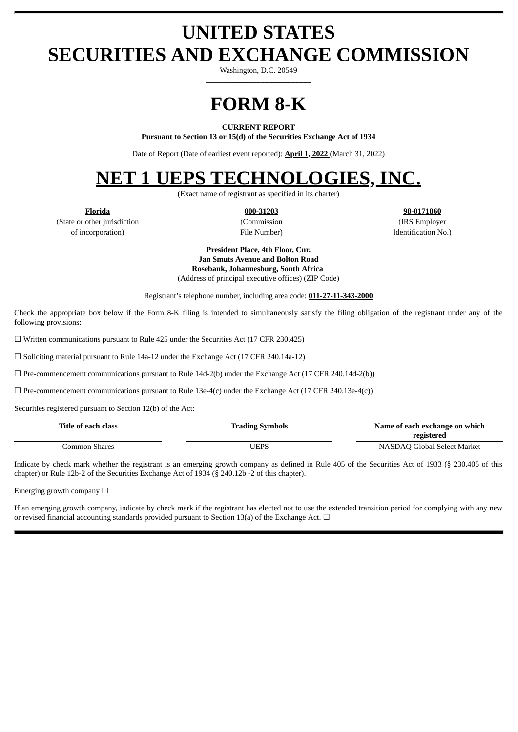# **UNITED STATES SECURITIES AND EXCHANGE COMMISSION**

Washington, D.C. 20549 **\_\_\_\_\_\_\_\_\_\_\_\_\_\_\_\_\_\_\_\_\_\_\_\_\_\_\_**

# **FORM 8-K**

#### **CURRENT REPORT**

**Pursuant to Section 13 or 15(d) of the Securities Exchange Act of 1934**

Date of Report (Date of earliest event reported): **April 1, 2022** (March 31, 2022)

## **NET 1 UEPS TECHNOLOGIES, INC.**

(Exact name of registrant as specified in its charter)

(State or other jurisdiction (Commission (IRS Employer of incorporation) File Number) Identification No.)

**Florida 000-31203 98-0171860**

**President Place, 4th Floor, Cnr. Jan Smuts Avenue and Bolton Road Rosebank, Johannesburg, South Africa** (Address of principal executive offices) (ZIP Code)

Registrant's telephone number, including area code: **011-27-11-343-2000**

Check the appropriate box below if the Form 8-K filing is intended to simultaneously satisfy the filing obligation of the registrant under any of the following provisions:

 $\Box$  Written communications pursuant to Rule 425 under the Securities Act (17 CFR 230.425)

☐ Soliciting material pursuant to Rule 14a-12 under the Exchange Act (17 CFR 240.14a-12)

 $\Box$  Pre-commencement communications pursuant to Rule 14d-2(b) under the Exchange Act (17 CFR 240.14d-2(b))

 $\Box$  Pre-commencement communications pursuant to Rule 13e-4(c) under the Exchange Act (17 CFR 240.13e-4(c))

Securities registered pursuant to Section 12(b) of the Act:

| Title of each class | <b>Trading Symbols</b> | Name of each exchange on which |
|---------------------|------------------------|--------------------------------|
|                     |                        | registered                     |
| Common Shares       | UEPS                   | NASDAQ Global Select Market    |

Indicate by check mark whether the registrant is an emerging growth company as defined in Rule 405 of the Securities Act of 1933 (§ 230.405 of this chapter) or Rule 12b-2 of the Securities Exchange Act of 1934 (§ 240.12b -2 of this chapter).

Emerging growth company  $\Box$ 

If an emerging growth company, indicate by check mark if the registrant has elected not to use the extended transition period for complying with any new or revised financial accounting standards provided pursuant to Section 13(a) of the Exchange Act.  $\Box$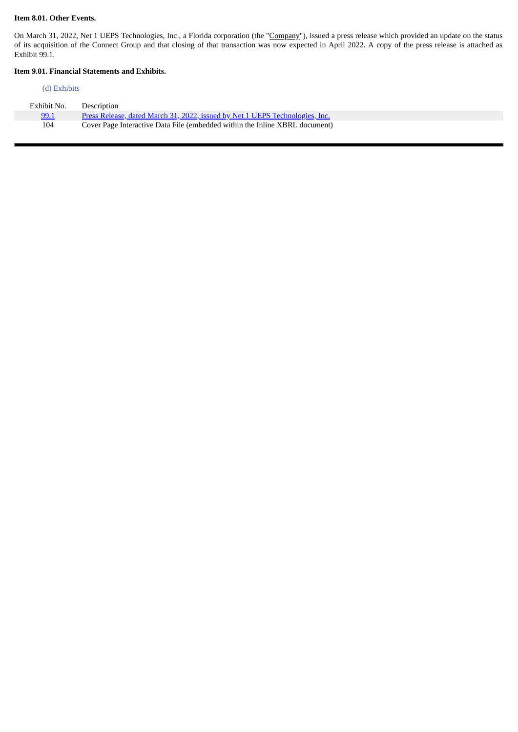#### **Item 8.01. Other Events.**

On March 31, 2022, Net 1 UEPS Technologies, Inc., a Florida corporation (the "Company"), issued a press release which provided an update on the status of its acquisition of the Connect Group and that closing of that transaction was now expected in April 2022. A copy of the press release is attached as Exhibit 99.1.

 $\blacksquare$ 

## **Item 9.01. Financial Statements and Exhibits.**

#### (d) Exhibits

| Exhibit No. | Description                                                                  |
|-------------|------------------------------------------------------------------------------|
| 99.1        | Press Release, dated March 31, 2022, issued by Net 1 UEPS Technologies, Inc. |
| 104         | Cover Page Interactive Data File (embedded within the Inline XBRL document)  |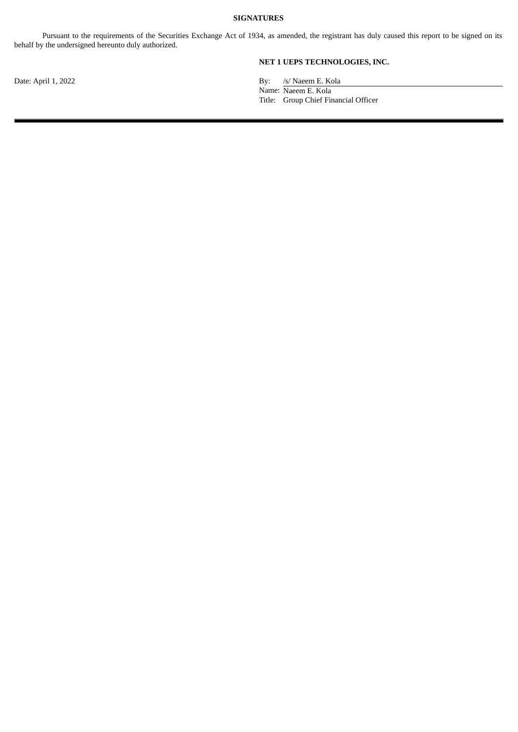#### **SIGNATURES**

Pursuant to the requirements of the Securities Exchange Act of 1934, as amended, the registrant has duly caused this report to be signed on its behalf by the undersigned hereunto duly authorized.

**NET 1 UEPS TECHNOLOGIES, INC.**

Date: April 1, 2022 By: /s/ Naeem E. Kola

Name: Naeem E. Kola

Title: Group Chief Financial Officer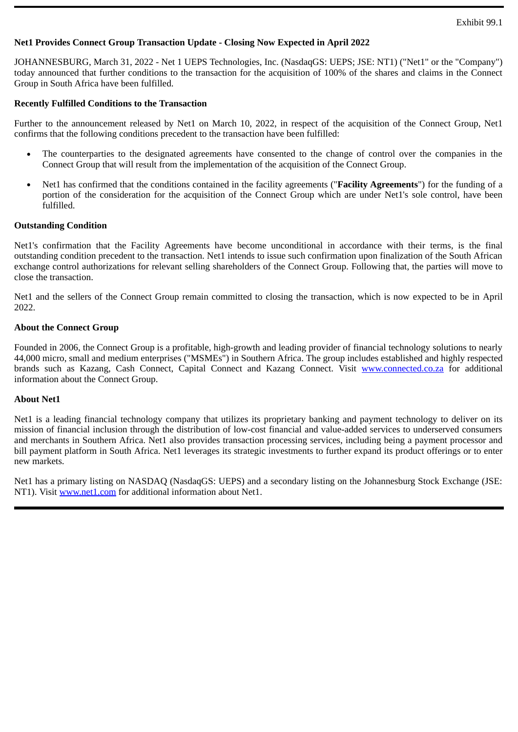## <span id="page-3-0"></span>**Net1 Provides Connect Group Transaction Update - Closing Now Expected in April 2022**

JOHANNESBURG, March 31, 2022 - Net 1 UEPS Technologies, Inc. (NasdaqGS: UEPS; JSE: NT1) ("Net1" or the "Company") today announced that further conditions to the transaction for the acquisition of 100% of the shares and claims in the Connect Group in South Africa have been fulfilled.

## **Recently Fulfilled Conditions to the Transaction**

Further to the announcement released by Net1 on March 10, 2022, in respect of the acquisition of the Connect Group, Net1 confirms that the following conditions precedent to the transaction have been fulfilled:

- The counterparties to the designated agreements have consented to the change of control over the companies in the Connect Group that will result from the implementation of the acquisition of the Connect Group.
- Net1 has confirmed that the conditions contained in the facility agreements ("**Facility Agreements**") for the funding of a portion of the consideration for the acquisition of the Connect Group which are under Net1's sole control, have been fulfilled.

## **Outstanding Condition**

Net1's confirmation that the Facility Agreements have become unconditional in accordance with their terms, is the final outstanding condition precedent to the transaction. Net1 intends to issue such confirmation upon finalization of the South African exchange control authorizations for relevant selling shareholders of the Connect Group. Following that, the parties will move to close the transaction.

Net1 and the sellers of the Connect Group remain committed to closing the transaction, which is now expected to be in April 2022.

## **About the Connect Group**

Founded in 2006, the Connect Group is a profitable, high-growth and leading provider of financial technology solutions to nearly 44,000 micro, small and medium enterprises ("MSMEs") in Southern Africa. The group includes established and highly respected brands such as Kazang, Cash Connect, Capital Connect and Kazang Connect. Visit www.connected.co.za for additional information about the Connect Group.

## **About Net1**

Net1 is a leading financial technology company that utilizes its proprietary banking and payment technology to deliver on its mission of financial inclusion through the distribution of low-cost financial and value-added services to underserved consumers and merchants in Southern Africa. Net1 also provides transaction processing services, including being a payment processor and bill payment platform in South Africa. Net1 leverages its strategic investments to further expand its product offerings or to enter new markets.

Net1 has a primary listing on NASDAQ (NasdaqGS: UEPS) and a secondary listing on the Johannesburg Stock Exchange (JSE: NT1). Visit www.net1.com for additional information about Net1.